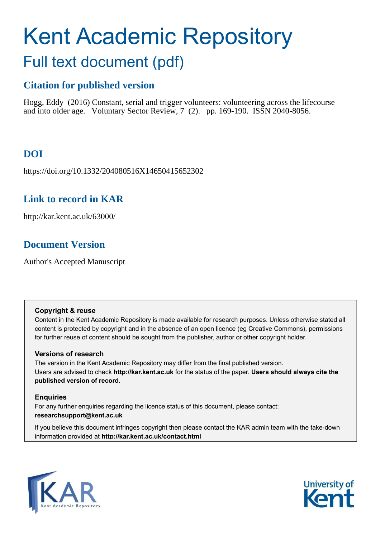# Kent Academic Repository Full text document (pdf)

# **Citation for published version**

Hogg, Eddy (2016) Constant, serial and trigger volunteers: volunteering across the lifecourse and into older age. Voluntary Sector Review, 7 (2). pp. 169-190. ISSN 2040-8056.

# **DOI**

https://doi.org/10.1332/204080516X14650415652302

# **Link to record in KAR**

http://kar.kent.ac.uk/63000/

# **Document Version**

Author's Accepted Manuscript

## **Copyright & reuse**

Content in the Kent Academic Repository is made available for research purposes. Unless otherwise stated all content is protected by copyright and in the absence of an open licence (eg Creative Commons), permissions for further reuse of content should be sought from the publisher, author or other copyright holder.

## **Versions of research**

The version in the Kent Academic Repository may differ from the final published version. Users are advised to check **http://kar.kent.ac.uk** for the status of the paper. **Users should always cite the published version of record.**

## **Enquiries**

For any further enquiries regarding the licence status of this document, please contact: **researchsupport@kent.ac.uk**

If you believe this document infringes copyright then please contact the KAR admin team with the take-down information provided at **http://kar.kent.ac.uk/contact.html**



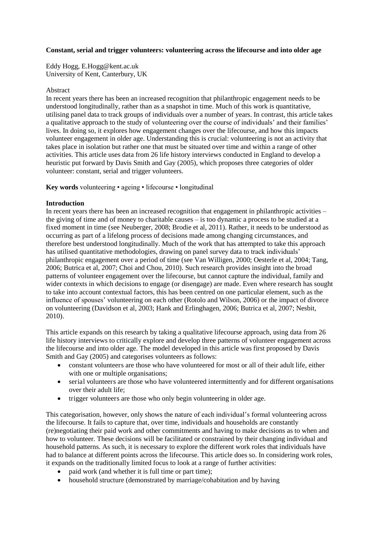#### **Constant, serial and trigger volunteers: volunteering across the lifecourse and into older age**

Eddy Hogg, E.Hogg@kent.ac.uk University of Kent, Canterbury, UK

#### Abstract

In recent years there has been an increased recognition that philanthropic engagement needs to be understood longitudinally, rather than as a snapshot in time. Much of this work is quantitative, utilising panel data to track groups of individuals over a number of years. In contrast, this article takes a qualitative approach to the study of volunteering over the course of individuals' and their families' lives. In doing so, it explores how engagement changes over the lifecourse, and how this impacts volunteer engagement in older age. Understanding this is crucial: volunteering is not an activity that takes place in isolation but rather one that must be situated over time and within a range of other activities. This article uses data from 26 life history interviews conducted in England to develop a heuristic put forward by Davis Smith and Gay (2005), which proposes three categories of older volunteer: constant, serial and trigger volunteers.

**Key words** volunteering • ageing • lifecourse • longitudinal

#### **Introduction**

In recent years there has been an increased recognition that engagement in philanthropic activities – the giving of time and of money to charitable causes – is too dynamic a process to be studied at a fixed moment in time (see Neuberger, 2008; Brodie et al, 2011). Rather, it needs to be understood as occurring as part of a lifelong process of decisions made among changing circumstances, and therefore best understood longitudinally. Much of the work that has attempted to take this approach has utilised quantitative methodologies, drawing on panel survey data to track individuals' philanthropic engagement over a period of time (see Van Willigen, 2000; Oesterle et al, 2004; Tang, 2006; Butrica et al, 2007; Choi and Chou, 2010). Such research provides insight into the broad patterns of volunteer engagement over the lifecourse, but cannot capture the individual, family and wider contexts in which decisions to engage (or disengage) are made. Even where research has sought to take into account contextual factors, this has been centred on one particular element, such as the influence of spouses' volunteering on each other (Rotolo and Wilson, 2006) or the impact of divorce on volunteering (Davidson et al, 2003; Hank and Erlinghagen, 2006; Butrica et al, 2007; Nesbit, 2010).

This article expands on this research by taking a qualitative lifecourse approach, using data from 26 life history interviews to critically explore and develop three patterns of volunteer engagement across the lifecourse and into older age. The model developed in this article was first proposed by Davis Smith and Gay (2005) and categorises volunteers as follows:

- constant volunteers are those who have volunteered for most or all of their adult life, either with one or multiple organisations;
- serial volunteers are those who have volunteered intermittently and for different organisations over their adult life;
- trigger volunteers are those who only begin volunteering in older age.

This categorisation, however, only shows the nature of each individual's formal volunteering across the lifecourse. It fails to capture that, over time, individuals and households are constantly (re)negotiating their paid work and other commitments and having to make decisions as to when and how to volunteer. These decisions will be facilitated or constrained by their changing individual and household patterns. As such, it is necessary to explore the different work roles that individuals have had to balance at different points across the lifecourse. This article does so. In considering work roles, it expands on the traditionally limited focus to look at a range of further activities:

- paid work (and whether it is full time or part time);
- household structure (demonstrated by marriage/cohabitation and by having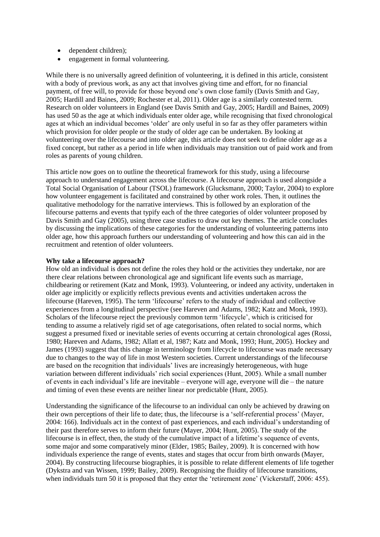- dependent children):
- engagement in formal volunteering.

While there is no universally agreed definition of volunteering, it is defined in this article, consistent with a body of previous work, as any act that involves giving time and effort, for no financial payment, of free will, to provide for those beyond one's own close family (Davis Smith and Gay, 2005; Hardill and Baines, 2009; Rochester et al, 2011). Older age is a similarly contested term. Research on older volunteers in England (see Davis Smith and Gay, 2005; Hardill and Baines, 2009) has used 50 as the age at which individuals enter older age, while recognising that fixed chronological ages at which an individual becomes 'older' are only useful in so far as they offer parameters within which provision for older people or the study of older age can be undertaken. By looking at volunteering over the lifecourse and into older age, this article does not seek to define older age as a fixed concept, but rather as a period in life when individuals may transition out of paid work and from roles as parents of young children.

This article now goes on to outline the theoretical framework for this study, using a lifecourse approach to understand engagement across the lifecourse. A lifecourse approach is used alongside a Total Social Organisation of Labour (TSOL) framework (Glucksmann, 2000; Taylor, 2004) to explore how volunteer engagement is facilitated and constrained by other work roles. Then, it outlines the qualitative methodology for the narrative interviews. This is followed by an exploration of the lifecourse patterns and events that typify each of the three categories of older volunteer proposed by Davis Smith and Gay (2005), using three case studies to draw out key themes. The article concludes by discussing the implications of these categories for the understanding of volunteering patterns into older age, how this approach furthers our understanding of volunteering and how this can aid in the recruitment and retention of older volunteers.

#### **Why take a lifecourse approach?**

How old an individual is does not define the roles they hold or the activities they undertake, nor are there clear relations between chronological age and significant life events such as marriage, childbearing or retirement (Katz and Monk, 1993). Volunteering, or indeed any activity, undertaken in older age implicitly or explicitly reflects previous events and activities undertaken across the lifecourse (Hareven, 1995). The term 'lifecourse' refers to the study of individual and collective experiences from a longitudinal perspective (see Hareven and Adams, 1982; Katz and Monk, 1993). Scholars of the lifecourse reject the previously common term 'lifecycle', which is criticised for tending to assume a relatively rigid set of age categorisations, often related to social norms, which suggest a presumed fixed or inevitable series of events occurring at certain chronological ages (Rossi, 1980; Hareven and Adams, 1982; Allatt et al, 1987; Katz and Monk, 1993; Hunt, 2005). Hockey and James (1993) suggest that this change in terminology from lifecycle to lifecourse was made necessary due to changes to the way of life in most Western societies. Current understandings of the lifecourse are based on the recognition that individuals' lives are increasingly heterogeneous, with huge variation between different individuals' rich social experiences (Hunt, 2005). While a small number of events in each individual's life are inevitable – everyone will age, everyone will die – the nature and timing of even these events are neither linear nor predictable (Hunt, 2005).

Understanding the significance of the lifecourse to an individual can only be achieved by drawing on their own perceptions of their life to date; thus, the lifecourse is a 'self-referential process' (Mayer, 2004: 166). Individuals act in the context of past experiences, and each individual's understanding of their past therefore serves to inform their future (Mayer, 2004; Hunt, 2005). The study of the lifecourse is in effect, then, the study of the cumulative impact of a lifetime's sequence of events, some major and some comparatively minor (Elder, 1985; Bailey, 2009). It is concerned with how individuals experience the range of events, states and stages that occur from birth onwards (Mayer, 2004). By constructing lifecourse biographies, it is possible to relate different elements of life together (Dykstra and van Wissen, 1999; Bailey, 2009). Recognising the fluidity of lifecourse transitions, when individuals turn 50 it is proposed that they enter the 'retirement zone' (Vickerstaff, 2006: 455).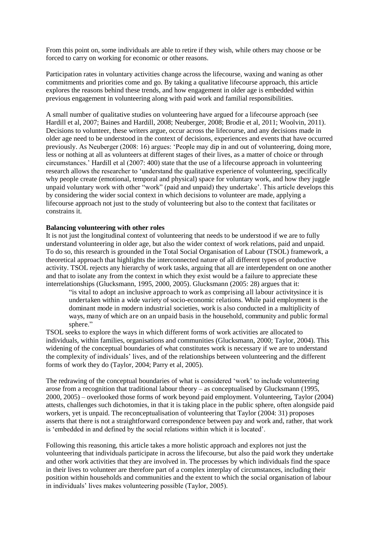From this point on, some individuals are able to retire if they wish, while others may choose or be forced to carry on working for economic or other reasons.

Participation rates in voluntary activities change across the lifecourse, waxing and waning as other commitments and priorities come and go. By taking a qualitative lifecourse approach, this article explores the reasons behind these trends, and how engagement in older age is embedded within previous engagement in volunteering along with paid work and familial responsibilities.

A small number of qualitative studies on volunteering have argued for a lifecourse approach (see Hardill et al, 2007; Baines and Hardill, 2008; Neuberger, 2008; Brodie et al, 2011; Woolvin, 2011). Decisions to volunteer, these writers argue, occur across the lifecourse, and any decisions made in older age need to be understood in the context of decisions, experiences and events that have occurred previously. As Neuberger (2008: 16) argues: 'People may dip in and out of volunteering, doing more, less or nothing at all as volunteers at different stages of their lives, as a matter of choice or through circumstances.' Hardill et al (2007: 400) state that the use of a lifecourse approach in volunteering research allows the researcher to 'understand the qualitative experience of volunteering, specifically why people create (emotional, temporal and physical) space for voluntary work, and how they juggle unpaid voluntary work with other "work" (paid and unpaid) they undertake'. This article develops this by considering the wider social context in which decisions to volunteer are made, applying a lifecourse approach not just to the study of volunteering but also to the context that facilitates or constrains it.

#### **Balancing volunteering with other roles**

It is not just the longitudinal context of volunteering that needs to be understood if we are to fully understand volunteering in older age, but also the wider context of work relations, paid and unpaid. To do so, this research is grounded in the Total Social Organisation of Labour (TSOL) framework, a theoretical approach that highlights the interconnected nature of all different types of productive activity. TSOL rejects any hierarchy of work tasks, arguing that all are interdependent on one another and that to isolate any from the context in which they exist would be a failure to appreciate these interrelationships (Glucksmann, 1995, 2000, 2005). Glucksmann (2005: 28) argues that it:

"is vital to adopt an inclusive approach to work as comprising all labour activitysince it is undertaken within a wide variety of socio-economic relations. While paid employment is the dominant mode in modern industrial societies, work is also conducted in a multiplicity of ways, many of which are on an unpaid basis in the household, community and public formal sphere."

TSOL seeks to explore the ways in which different forms of work activities are allocated to individuals, within families, organisations and communities (Glucksmann, 2000; Taylor, 2004). This widening of the conceptual boundaries of what constitutes work is necessary if we are to understand the complexity of individuals' lives, and of the relationships between volunteering and the different forms of work they do (Taylor, 2004; Parry et al, 2005).

The redrawing of the conceptual boundaries of what is considered 'work' to include volunteering arose from a recognition that traditional labour theory – as conceptualised by Glucksmann (1995, 2000, 2005) – overlooked those forms of work beyond paid employment. Volunteering, Taylor (2004) attests, challenges such dichotomies, in that it is taking place in the public sphere, often alongside paid workers, yet is unpaid. The reconceptualisation of volunteering that Taylor (2004: 31) proposes asserts that there is not a straightforward correspondence between pay and work and, rather, that work is 'embedded in and defined by the social relations within which it is located'.

Following this reasoning, this article takes a more holistic approach and explores not just the volunteering that individuals participate in across the lifecourse, but also the paid work they undertake and other work activities that they are involved in. The processes by which individuals find the space in their lives to volunteer are therefore part of a complex interplay of circumstances, including their position within households and communities and the extent to which the social organisation of labour in individuals' lives makes volunteering possible (Taylor, 2005).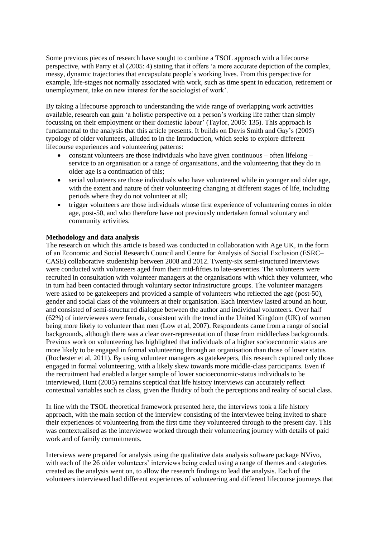Some previous pieces of research have sought to combine a TSOL approach with a lifecourse perspective, with Parry et al (2005: 4) stating that it offers 'a more accurate depiction of the complex, messy, dynamic trajectories that encapsulate people's working lives. From this perspective for example, life-stages not normally associated with work, such as time spent in education, retirement or unemployment, take on new interest for the sociologist of work'.

By taking a lifecourse approach to understanding the wide range of overlapping work activities available, research can gain 'a holistic perspective on a person's working life rather than simply focussing on their employment or their domestic labour' (Taylor, 2005: 135). This approach is fundamental to the analysis that this article presents. It builds on Davis Smith and Gay's (2005) typology of older volunteers, alluded to in the Introduction, which seeks to explore different lifecourse experiences and volunteering patterns:

- constant volunteers are those individuals who have given continuous often lifelong service to an organisation or a range of organisations, and the volunteering that they do in older age is a continuation of this;
- serial volunteers are those individuals who have volunteered while in younger and older age, with the extent and nature of their volunteering changing at different stages of life, including periods where they do not volunteer at all;
- trigger volunteers are those individuals whose first experience of volunteering comes in older age, post-50, and who therefore have not previously undertaken formal voluntary and community activities.

#### **Methodology and data analysis**

The research on which this article is based was conducted in collaboration with Age UK, in the form of an Economic and Social Research Council and Centre for Analysis of Social Exclusion (ESRC– CASE) collaborative studentship between 2008 and 2012. Twenty-six semi-structured interviews were conducted with volunteers aged from their mid-fifties to late-seventies. The volunteers were recruited in consultation with volunteer managers at the organisations with which they volunteer, who in turn had been contacted through voluntary sector infrastructure groups. The volunteer managers were asked to be gatekeepers and provided a sample of volunteers who reflected the age (post-50), gender and social class of the volunteers at their organisation. Each interview lasted around an hour, and consisted of semi-structured dialogue between the author and individual volunteers. Over half (62%) of interviewees were female, consistent with the trend in the United Kingdom (UK) of women being more likely to volunteer than men (Low et al, 2007). Respondents came from a range of social backgrounds, although there was a clear over-representation of those from middleclass backgrounds. Previous work on volunteering has highlighted that individuals of a higher socioeconomic status are more likely to be engaged in formal volunteering through an organisation than those of lower status (Rochester et al, 2011). By using volunteer managers as gatekeepers, this research captured only those engaged in formal volunteering, with a likely skew towards more middle-class participants. Even if the recruitment had enabled a larger sample of lower socioeconomic-status individuals to be interviewed, Hunt (2005) remains sceptical that life history interviews can accurately reflect contextual variables such as class, given the fluidity of both the perceptions and reality of social class.

In line with the TSOL theoretical framework presented here, the interviews took a life history approach, with the main section of the interview consisting of the interviewee being invited to share their experiences of volunteering from the first time they volunteered through to the present day. This was contextualised as the interviewee worked through their volunteering journey with details of paid work and of family commitments.

Interviews were prepared for analysis using the qualitative data analysis software package NVivo, with each of the 26 older volunteers' interviews being coded using a range of themes and categories created as the analysis went on, to allow the research findings to lead the analysis. Each of the volunteers interviewed had different experiences of volunteering and different lifecourse journeys that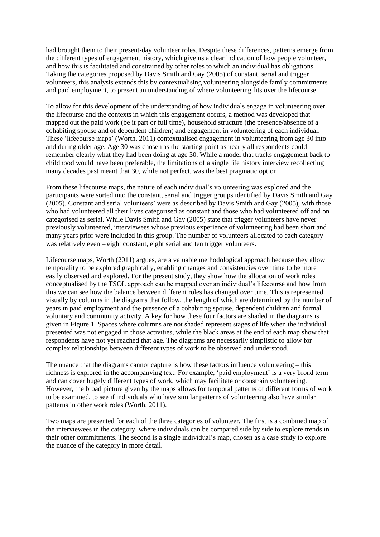had brought them to their present-day volunteer roles. Despite these differences, patterns emerge from the different types of engagement history, which give us a clear indication of how people volunteer, and how this is facilitated and constrained by other roles to which an individual has obligations. Taking the categories proposed by Davis Smith and Gay (2005) of constant, serial and trigger volunteers, this analysis extends this by contextualising volunteering alongside family commitments and paid employment, to present an understanding of where volunteering fits over the lifecourse.

To allow for this development of the understanding of how individuals engage in volunteering over the lifecourse and the contexts in which this engagement occurs, a method was developed that mapped out the paid work (be it part or full time), household structure (the presence/absence of a cohabiting spouse and of dependent children) and engagement in volunteering of each individual. These 'lifecourse maps' (Worth, 2011) contextualised engagement in volunteering from age 30 into and during older age. Age 30 was chosen as the starting point as nearly all respondents could remember clearly what they had been doing at age 30. While a model that tracks engagement back to childhood would have been preferable, the limitations of a single life history interview recollecting many decades past meant that 30, while not perfect, was the best pragmatic option.

From these lifecourse maps, the nature of each individual's volunteering was explored and the participants were sorted into the constant, serial and trigger groups identified by Davis Smith and Gay (2005). Constant and serial volunteers' were as described by Davis Smith and Gay (2005), with those who had volunteered all their lives categorised as constant and those who had volunteered off and on categorised as serial. While Davis Smith and Gay (2005) state that trigger volunteers have never previously volunteered, interviewees whose previous experience of volunteering had been short and many years prior were included in this group. The number of volunteers allocated to each category was relatively even – eight constant, eight serial and ten trigger volunteers.

Lifecourse maps, Worth (2011) argues, are a valuable methodological approach because they allow temporality to be explored graphically, enabling changes and consistencies over time to be more easily observed and explored. For the present study, they show how the allocation of work roles conceptualised by the TSOL approach can be mapped over an individual's lifecourse and how from this we can see how the balance between different roles has changed over time. This is represented visually by columns in the diagrams that follow, the length of which are determined by the number of years in paid employment and the presence of a cohabiting spouse, dependent children and formal voluntary and community activity. A key for how these four factors are shaded in the diagrams is given in Figure 1. Spaces where columns are not shaded represent stages of life when the individual presented was not engaged in those activities, while the black areas at the end of each map show that respondents have not yet reached that age. The diagrams are necessarily simplistic to allow for complex relationships between different types of work to be observed and understood.

The nuance that the diagrams cannot capture is how these factors influence volunteering  $-$  this richness is explored in the accompanying text. For example, 'paid employment' is a very broad term and can cover hugely different types of work, which may facilitate or constrain volunteering. However, the broad picture given by the maps allows for temporal patterns of different forms of work to be examined, to see if individuals who have similar patterns of volunteering also have similar patterns in other work roles (Worth, 2011).

Two maps are presented for each of the three categories of volunteer. The first is a combined map of the interviewees in the category, where individuals can be compared side by side to explore trends in their other commitments. The second is a single individual's map, chosen as a case study to explore the nuance of the category in more detail.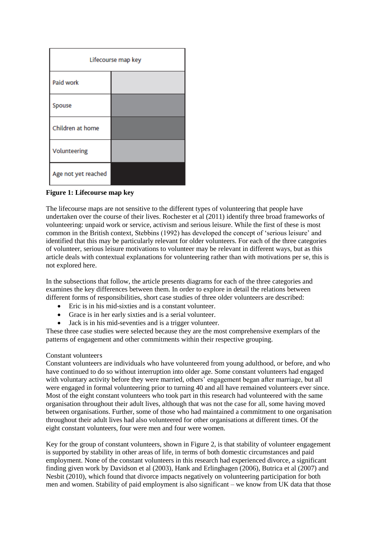| Lifecourse map key  |  |  |  |  |
|---------------------|--|--|--|--|
| Paid work           |  |  |  |  |
| Spouse              |  |  |  |  |
| Children at home    |  |  |  |  |
| Volunteering        |  |  |  |  |
| Age not yet reached |  |  |  |  |

**Figure 1: Lifecourse map key** 

The lifecourse maps are not sensitive to the different types of volunteering that people have undertaken over the course of their lives. Rochester et al (2011) identify three broad frameworks of volunteering: unpaid work or service, activism and serious leisure. While the first of these is most common in the British context, Stebbins (1992) has developed the concept of 'serious leisure' and identified that this may be particularly relevant for older volunteers. For each of the three categories of volunteer, serious leisure motivations to volunteer may be relevant in different ways, but as this article deals with contextual explanations for volunteering rather than with motivations per se, this is not explored here.

In the subsections that follow, the article presents diagrams for each of the three categories and examines the key differences between them. In order to explore in detail the relations between different forms of responsibilities, short case studies of three older volunteers are described:

- Eric is in his mid-sixties and is a constant volunteer.
- Grace is in her early sixties and is a serial volunteer.
- Jack is in his mid-seventies and is a trigger volunteer.

These three case studies were selected because they are the most comprehensive exemplars of the patterns of engagement and other commitments within their respective grouping.

#### Constant volunteers

Constant volunteers are individuals who have volunteered from young adulthood, or before, and who have continued to do so without interruption into older age. Some constant volunteers had engaged with voluntary activity before they were married, others' engagement began after marriage, but all were engaged in formal volunteering prior to turning 40 and all have remained volunteers ever since. Most of the eight constant volunteers who took part in this research had volunteered with the same organisation throughout their adult lives, although that was not the case for all, some having moved between organisations. Further, some of those who had maintained a commitment to one organisation throughout their adult lives had also volunteered for other organisations at different times. Of the eight constant volunteers, four were men and four were women.

Key for the group of constant volunteers, shown in Figure 2, is that stability of volunteer engagement is supported by stability in other areas of life, in terms of both domestic circumstances and paid employment. None of the constant volunteers in this research had experienced divorce, a significant finding given work by Davidson et al (2003), Hank and Erlinghagen (2006), Butrica et al (2007) and Nesbit (2010), which found that divorce impacts negatively on volunteering participation for both men and women. Stability of paid employment is also significant – we know from UK data that those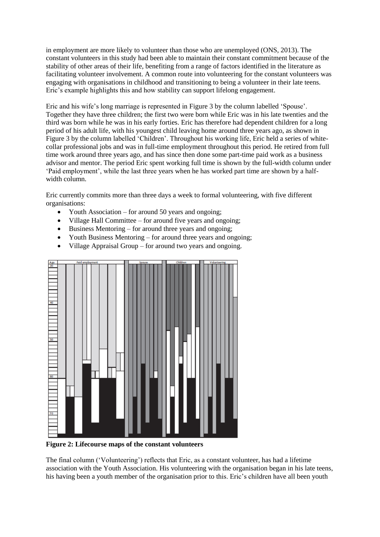in employment are more likely to volunteer than those who are unemployed (ONS, 2013). The constant volunteers in this study had been able to maintain their constant commitment because of the stability of other areas of their life, benefiting from a range of factors identified in the literature as facilitating volunteer involvement. A common route into volunteering for the constant volunteers was engaging with organisations in childhood and transitioning to being a volunteer in their late teens. Eric's example highlights this and how stability can support lifelong engagement.

Eric and his wife's long marriage is represented in Figure 3 by the column labelled 'Spouse'. Together they have three children; the first two were born while Eric was in his late twenties and the third was born while he was in his early forties. Eric has therefore had dependent children for a long period of his adult life, with his youngest child leaving home around three years ago, as shown in Figure 3 by the column labelled 'Children'. Throughout his working life, Eric held a series of whitecollar professional jobs and was in full-time employment throughout this period. He retired from full time work around three years ago, and has since then done some part-time paid work as a business advisor and mentor. The period Eric spent working full time is shown by the full-width column under 'Paid employment', while the last three years when he has worked part time are shown by a halfwidth column.

Eric currently commits more than three days a week to formal volunteering, with five different organisations:

- Youth Association for around 50 years and ongoing;
- Village Hall Committee for around five years and ongoing;
- $\bullet$  Business Mentoring for around three years and ongoing;
- Youth Business Mentoring for around three years and ongoing;
- Village Appraisal Group for around two years and ongoing.



**Figure 2: Lifecourse maps of the constant volunteers** 

The final column ('Volunteering') reflects that Eric, as a constant volunteer, has had a lifetime association with the Youth Association. His volunteering with the organisation began in his late teens, his having been a youth member of the organisation prior to this. Eric's children have all been youth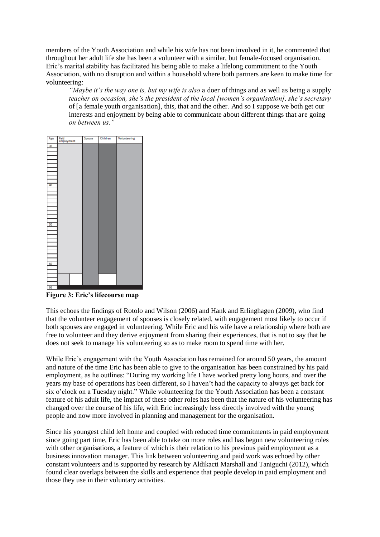members of the Youth Association and while his wife has not been involved in it, he commented that throughout her adult life she has been a volunteer with a similar, but female-focused organisation. Eric's marital stability has facilitated his being able to make a lifelong commitment to the Youth Association, with no disruption and within a household where both partners are keen to make time for volunteering:

*"Maybe it's the way one is, but my wife is also* a doer of things and as well as being a supply *teacher on occasion, she's the president of the local [women's organisation], she's secretary*  of [a female youth organisation], this, that and the other. And so I suppose we both get our interests and enjoyment by being able to communicate about different things that are going *on between us."*

| Age | Paid<br>employment | Spouse | Children | Volunteering |
|-----|--------------------|--------|----------|--------------|
| 30  |                    |        |          |              |
|     |                    |        |          |              |
|     |                    |        |          |              |
|     |                    |        |          |              |
|     |                    |        |          |              |
|     |                    |        |          |              |
|     |                    |        |          |              |
| 40  |                    |        |          |              |
|     |                    |        |          |              |
|     |                    |        |          |              |
|     |                    |        |          |              |
|     |                    |        |          |              |
|     |                    |        |          |              |
|     |                    |        |          |              |
| 50  |                    |        |          |              |
|     |                    |        |          |              |
|     |                    |        |          |              |
|     |                    |        |          |              |
|     |                    |        |          |              |
|     |                    |        |          |              |
|     |                    |        |          |              |
| 60  |                    |        |          |              |
|     |                    |        |          |              |
|     |                    |        |          |              |
|     |                    |        |          |              |
|     |                    |        |          |              |
| 66  |                    |        |          |              |

**Figure 3: Eric's lifecourse map**

This echoes the findings of Rotolo and Wilson (2006) and Hank and Erlinghagen (2009), who find that the volunteer engagement of spouses is closely related, with engagement most likely to occur if both spouses are engaged in volunteering. While Eric and his wife have a relationship where both are free to volunteer and they derive enjoyment from sharing their experiences, that is not to say that he does not seek to manage his volunteering so as to make room to spend time with her.

While Eric's engagement with the Youth Association has remained for around 50 years, the amount and nature of the time Eric has been able to give to the organisation has been constrained by his paid employment, as he outlines: "During my working life I have worked pretty long hours, and over the years my base of operations has been different, so I haven't had the capacity to always get back for six o'clock on a Tuesday night." While volunteering for the Youth Association has been a constant feature of his adult life, the impact of these other roles has been that the nature of his volunteering has changed over the course of his life, with Eric increasingly less directly involved with the young people and now more involved in planning and management for the organisation.

Since his youngest child left home and coupled with reduced time commitments in paid employment since going part time, Eric has been able to take on more roles and has begun new volunteering roles with other organisations, a feature of which is their relation to his previous paid employment as a business innovation manager. This link between volunteering and paid work was echoed by other constant volunteers and is supported by research by Aldikacti Marshall and Taniguchi (2012), which found clear overlaps between the skills and experience that people develop in paid employment and those they use in their voluntary activities.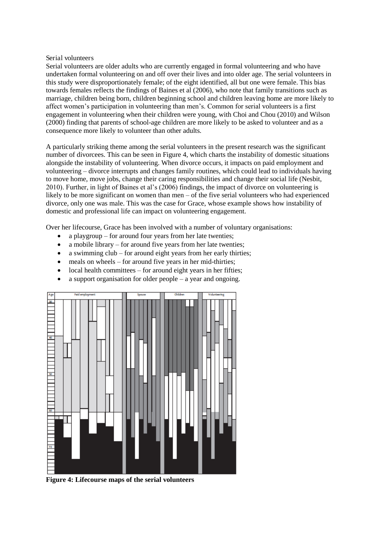#### Serial volunteers

Serial volunteers are older adults who are currently engaged in formal volunteering and who have undertaken formal volunteering on and off over their lives and into older age. The serial volunteers in this study were disproportionately female; of the eight identified, all but one were female. This bias towards females reflects the findings of Baines et al (2006), who note that family transitions such as marriage, children being born, children beginning school and children leaving home are more likely to affect women's participation in volunteering than men's. Common for serial volunteers is a first engagement in volunteering when their children were young, with Choi and Chou (2010) and Wilson (2000) finding that parents of school-age children are more likely to be asked to volunteer and as a consequence more likely to volunteer than other adults.

A particularly striking theme among the serial volunteers in the present research was the significant number of divorcees. This can be seen in Figure 4, which charts the instability of domestic situations alongside the instability of volunteering. When divorce occurs, it impacts on paid employment and volunteering – divorce interrupts and changes family routines, which could lead to individuals having to move home, move jobs, change their caring responsibilities and change their social life (Nesbit, 2010). Further, in light of Baines et al's (2006) findings, the impact of divorce on volunteering is likely to be more significant on women than men – of the five serial volunteers who had experienced divorce, only one was male. This was the case for Grace, whose example shows how instability of domestic and professional life can impact on volunteering engagement.

Over her lifecourse, Grace has been involved with a number of voluntary organisations:

- a playgroup for around four years from her late twenties;
- a mobile library for around five years from her late twenties:
- a swimming club for around eight years from her early thirties;
- meals on wheels for around five years in her mid-thirties;
- $\bullet$  local health committees for around eight years in her fifties;
- a support organisation for older people a year and ongoing.



**Figure 4: Lifecourse maps of the serial volunteers**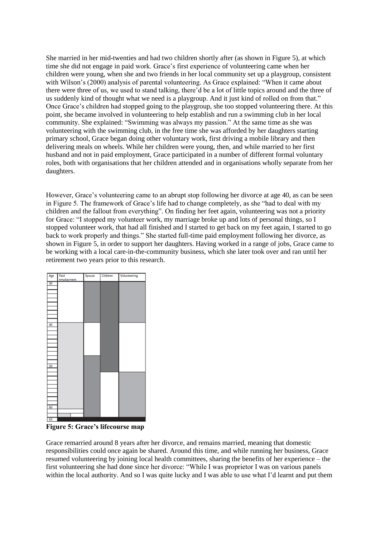She married in her mid-twenties and had two children shortly after (as shown in Figure 5), at which time she did not engage in paid work. Grace's first experience of volunteering came when her children were young, when she and two friends in her local community set up a playgroup, consistent with Wilson's (2000) analysis of parental volunteering. As Grace explained: "When it came about there were three of us, we used to stand talking, there'd be a lot of little topics around and the three of us suddenly kind of thought what we need is a playgroup. And it just kind of rolled on from that." Once Grace's children had stopped going to the playgroup, she too stopped volunteering there. At this point, she became involved in volunteering to help establish and run a swimming club in her local community. She explained: "Swimming was always my passion." At the same time as she was volunteering with the swimming club, in the free time she was afforded by her daughters starting primary school, Grace began doing other voluntary work, first driving a mobile library and then delivering meals on wheels. While her children were young, then, and while married to her first husband and not in paid employment, Grace participated in a number of different formal voluntary roles, both with organisations that her children attended and in organisations wholly separate from her daughters.

However, Grace's volunteering came to an abrupt stop following her divorce at age 40, as can be seen in Figure 5. The framework of Grace's life had to change completely, as she "had to deal with my children and the fallout from everything". On finding her feet again, volunteering was not a priority for Grace: "I stopped my volunteer work, my marriage broke up and lots of personal things, so I stopped volunteer work, that had all finished and I started to get back on my feet again, I started to go back to work properly and things." She started full-time paid employment following her divorce, as shown in Figure 5, in order to support her daughters. Having worked in a range of jobs, Grace came to be working with a local care-in-the-community business, which she later took over and ran until her retirement two years prior to this research.



**Figure 5: Grace's lifecourse map**

Grace remarried around 8 years after her divorce, and remains married, meaning that domestic responsibilities could once again be shared. Around this time, and while running her business, Grace resumed volunteering by joining local health committees, sharing the benefits of her experience – the first volunteering she had done since her divorce: "While I was proprietor I was on various panels within the local authority. And so I was quite lucky and I was able to use what I'd learnt and put them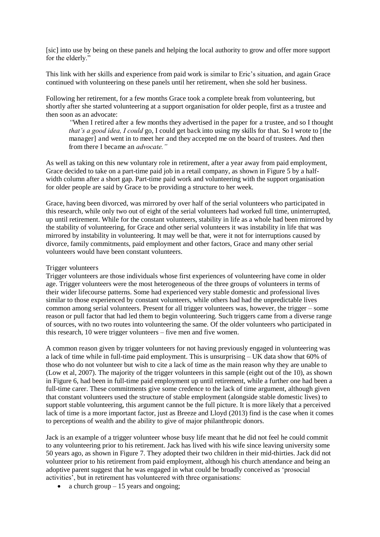[sic] into use by being on these panels and helping the local authority to grow and offer more support for the elderly."

This link with her skills and experience from paid work is similar to Eric's situation, and again Grace continued with volunteering on these panels until her retirement, when she sold her business.

Following her retirement, for a few months Grace took a complete break from volunteering, but shortly after she started volunteering at a support organisation for older people, first as a trustee and then soon as an advocate:

*"*When I retired after a few months they advertised in the paper for a trustee, and so I thought *that's a good idea, I could* go, I could get back into using my skills for that. So I wrote to [the manager] and went in to meet her and they accepted me on the board of trustees. And then from there I became an *advocate."*

As well as taking on this new voluntary role in retirement, after a year away from paid employment, Grace decided to take on a part-time paid job in a retail company, as shown in Figure 5 by a halfwidth column after a short gap. Part-time paid work and volunteering with the support organisation for older people are said by Grace to be providing a structure to her week.

Grace, having been divorced, was mirrored by over half of the serial volunteers who participated in this research, while only two out of eight of the serial volunteers had worked full time, uninterrupted, up until retirement. While for the constant volunteers, stability in life as a whole had been mirrored by the stability of volunteering, for Grace and other serial volunteers it was instability in life that was mirrored by instability in volunteering. It may well be that, were it not for interruptions caused by divorce, family commitments, paid employment and other factors, Grace and many other serial volunteers would have been constant volunteers.

#### Trigger volunteers

Trigger volunteers are those individuals whose first experiences of volunteering have come in older age. Trigger volunteers were the most heterogeneous of the three groups of volunteers in terms of their wider lifecourse patterns. Some had experienced very stable domestic and professional lives similar to those experienced by constant volunteers, while others had had the unpredictable lives common among serial volunteers. Present for all trigger volunteers was, however, the trigger – some reason or pull factor that had led them to begin volunteering. Such triggers came from a diverse range of sources, with no two routes into volunteering the same. Of the older volunteers who participated in this research, 10 were trigger volunteers – five men and five women.

A common reason given by trigger volunteers for not having previously engaged in volunteering was a lack of time while in full-time paid employment. This is unsurprising – UK data show that 60% of those who do not volunteer but wish to cite a lack of time as the main reason why they are unable to (Low et al, 2007). The majority of the trigger volunteers in this sample (eight out of the 10), as shown in Figure 6, had been in full-time paid employment up until retirement, while a further one had been a full-time carer. These commitments give some credence to the lack of time argument, although given that constant volunteers used the structure of stable employment (alongside stable domestic lives) to support stable volunteering, this argument cannot be the full picture. It is more likely that a perceived lack of time is a more important factor, just as Breeze and Lloyd (2013) find is the case when it comes to perceptions of wealth and the ability to give of major philanthropic donors.

Jack is an example of a trigger volunteer whose busy life meant that he did not feel he could commit to any volunteering prior to his retirement. Jack has lived with his wife since leaving university some 50 years ago, as shown in Figure 7. They adopted their two children in their mid-thirties. Jack did not volunteer prior to his retirement from paid employment, although his church attendance and being an adoptive parent suggest that he was engaged in what could be broadly conceived as 'prosocial activities', but in retirement has volunteered with three organisations:

• a church group  $-15$  years and ongoing;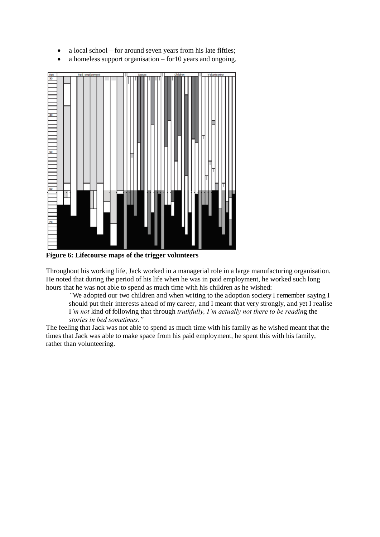- a local school for around seven years from his late fifties;
- a homeless support organisation for 10 years and ongoing.



**Figure 6: Lifecourse maps of the trigger volunteers** 

Throughout his working life, Jack worked in a managerial role in a large manufacturing organisation. He noted that during the period of his life when he was in paid employment, he worked such long hours that he was not able to spend as much time with his children as he wished:

*"*We adopted our two children and when writing to the adoption society I remember saying I should put their interests ahead of my career, and I meant that very strongly, and yet I realise I*'m not* kind of following that through *truthfully, I'm actually not there to be readin*g the *stories in bed sometimes."*

The feeling that Jack was not able to spend as much time with his family as he wished meant that the times that Jack was able to make space from his paid employment, he spent this with his family, rather than volunteering.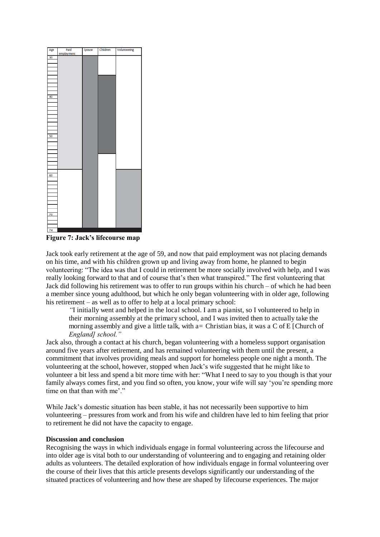| ſ<br>Age | Paid       | Spouse | Children | Volunteering |
|----------|------------|--------|----------|--------------|
|          | employment |        |          |              |
| 30       |            |        |          |              |
|          |            |        |          |              |
|          |            |        |          |              |
|          |            |        |          |              |
|          |            |        |          |              |
|          |            |        |          |              |
|          |            |        |          |              |
|          |            |        |          |              |
|          |            |        |          |              |
|          |            |        |          |              |
|          |            |        |          |              |
| 40       |            |        |          |              |
|          |            |        |          |              |
|          |            |        |          |              |
|          |            |        |          |              |
|          |            |        |          |              |
|          |            |        |          |              |
|          |            |        |          |              |
|          |            |        |          |              |
|          |            |        |          |              |
|          |            |        |          |              |
|          |            |        |          |              |
| 50       |            |        |          |              |
|          |            |        |          |              |
|          |            |        |          |              |
|          |            |        |          |              |
|          |            |        |          |              |
|          |            |        |          |              |
|          |            |        |          |              |
|          |            |        |          |              |
|          |            |        |          |              |
|          |            |        |          |              |
|          |            |        |          |              |
|          |            |        |          |              |
| 60       |            |        |          |              |
|          |            |        |          |              |
|          |            |        |          |              |
|          |            |        |          |              |
|          |            |        |          |              |
|          |            |        |          |              |
|          |            |        |          |              |
|          |            |        |          |              |
|          |            |        |          |              |
|          |            |        |          |              |
|          |            |        |          |              |
| 70       |            |        |          |              |
|          |            |        |          |              |
|          |            |        |          |              |
|          |            |        |          |              |
| 74       |            |        |          |              |
|          |            |        |          |              |

**Figure 7: Jack's lifecourse map**

Jack took early retirement at the age of 59, and now that paid employment was not placing demands on his time, and with his children grown up and living away from home, he planned to begin volunteering: "The idea was that I could in retirement be more socially involved with help, and I was really looking forward to that and of course that's then what transpired." The first volunteering that Jack did following his retirement was to offer to run groups within his church – of which he had been a member since young adulthood, but which he only began volunteering with in older age, following his retirement – as well as to offer to help at a local primary school:

*"*I initially went and helped in the local school. I am a pianist, so I volunteered to help in their morning assembly at the primary school, and I was invited then to actually take the morning assembly and give a little talk, with a= Christian bias, it was a C of E [Church of *England] school."*

Jack also, through a contact at his church, began volunteering with a homeless support organisation around five years after retirement, and has remained volunteering with them until the present, a commitment that involves providing meals and support for homeless people one night a month. The volunteering at the school, however, stopped when Jack's wife suggested that he might like to volunteer a bit less and spend a bit more time with her: "What I need to say to you though is that your family always comes first, and you find so often, you know, your wife will say 'you're spending more time on that than with me'."

While Jack's domestic situation has been stable, it has not necessarily been supportive to him volunteering – pressures from work and from his wife and children have led to him feeling that prior to retirement he did not have the capacity to engage.

### **Discussion and conclusion**

Recognising the ways in which individuals engage in formal volunteering across the lifecourse and into older age is vital both to our understanding of volunteering and to engaging and retaining older adults as volunteers. The detailed exploration of how individuals engage in formal volunteering over the course of their lives that this article presents develops significantly our understanding of the situated practices of volunteering and how these are shaped by lifecourse experiences. The major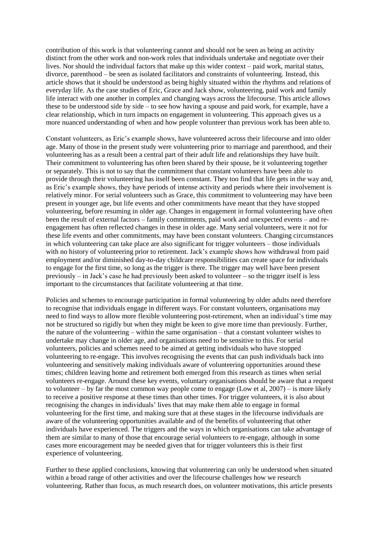contribution of this work is that volunteering cannot and should not be seen as being an activity distinct from the other work and non-work roles that individuals undertake and negotiate over their lives. Nor should the individual factors that make up this wider context – paid work, marital status, divorce, parenthood – be seen as isolated facilitators and constraints of volunteering. Instead, this article shows that it should be understood as being highly situated within the rhythms and relations of everyday life. As the case studies of Eric, Grace and Jack show, volunteering, paid work and family life interact with one another in complex and changing ways across the lifecourse. This article allows these to be understood side by side – to see how having a spouse and paid work, for example, have a clear relationship, which in turn impacts on engagement in volunteering. This approach gives us a more nuanced understanding of when and how people volunteer than previous work has been able to.

Constant volunteers, as Eric's example shows, have volunteered across their lifecourse and into older age. Many of those in the present study were volunteering prior to marriage and parenthood, and their volunteering has as a result been a central part of their adult life and relationships they have built. Their commitment to volunteering has often been shared by their spouse, be it volunteering together or separately. This is not to say that the commitment that constant volunteers have been able to provide through their volunteering has itself been constant. They too find that life gets in the way and, as Eric's example shows, they have periods of intense activity and periods where their involvement is relatively minor. For serial volunteers such as Grace, this commitment to volunteering may have been present in younger age, but life events and other commitments have meant that they have stopped volunteering, before resuming in older age. Changes in engagement in formal volunteering have often been the result of external factors – family commitments, paid work and unexpected events – and reengagement has often reflected changes in these in older age. Many serial volunteers, were it not for these life events and other commitments, may have been constant volunteers. Changing circumstances in which volunteering can take place are also significant for trigger volunteers – those individuals with no history of volunteering prior to retirement. Jack's example shows how withdrawal from paid employment and/or diminished day-to-day childcare responsibilities can create space for individuals to engage for the first time, so long as the trigger is there. The trigger may well have been present previously – in Jack's case he had previously been asked to volunteer – so the trigger itself is less important to the circumstances that facilitate volunteering at that time.

Policies and schemes to encourage participation in formal volunteering by older adults need therefore to recognise that individuals engage in different ways. For constant volunteers, organisations may need to find ways to allow more flexible volunteering post-retirement, when an individual's time may not be structured so rigidly but when they might be keen to give more time than previously. Further, the nature of the volunteering – within the same organisation – that a constant volunteer wishes to undertake may change in older age, and organisations need to be sensitive to this. For serial volunteers, policies and schemes need to be aimed at getting individuals who have stopped volunteering to re-engage. This involves recognising the events that can push individuals back into volunteering and sensitively making individuals aware of volunteering opportunities around these times; children leaving home and retirement both emerged from this research as times when serial volunteers re-engage. Around these key events, voluntary organisations should be aware that a request to volunteer – by far the most common way people come to engage (Low et al, 2007) – is more likely to receive a positive response at these times than other times. For trigger volunteers, it is also about recognising the changes in individuals' lives that may make them able to engage in formal volunteering for the first time, and making sure that at these stages in the lifecourse individuals are aware of the volunteering opportunities available and of the benefits of volunteering that other individuals have experienced. The triggers and the ways in which organisations can take advantage of them are similar to many of those that encourage serial volunteers to re-engage, although in some cases more encouragement may be needed given that for trigger volunteers this is their first experience of volunteering.

Further to these applied conclusions, knowing that volunteering can only be understood when situated within a broad range of other activities and over the lifecourse challenges how we research volunteering. Rather than focus, as much research does, on volunteer motivations, this article presents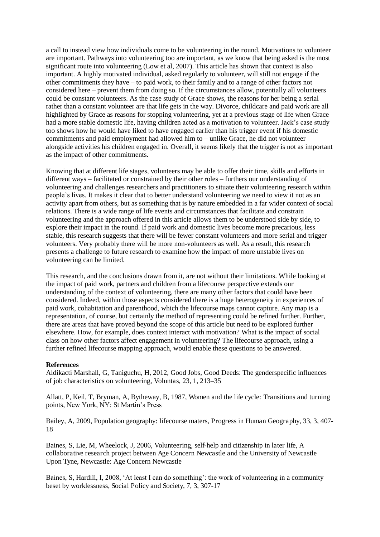a call to instead view how individuals come to be volunteering in the round. Motivations to volunteer are important. Pathways into volunteering too are important, as we know that being asked is the most significant route into volunteering (Low et al, 2007). This article has shown that context is also important. A highly motivated individual, asked regularly to volunteer, will still not engage if the other commitments they have – to paid work, to their family and to a range of other factors not considered here – prevent them from doing so. If the circumstances allow, potentially all volunteers could be constant volunteers. As the case study of Grace shows, the reasons for her being a serial rather than a constant volunteer are that life gets in the way. Divorce, childcare and paid work are all highlighted by Grace as reasons for stopping volunteering, yet at a previous stage of life when Grace had a more stable domestic life, having children acted as a motivation to volunteer. Jack's case study too shows how he would have liked to have engaged earlier than his trigger event if his domestic commitments and paid employment had allowed him to – unlike Grace, he did not volunteer alongside activities his children engaged in. Overall, it seems likely that the trigger is not as important as the impact of other commitments.

Knowing that at different life stages, volunteers may be able to offer their time, skills and efforts in different ways – facilitated or constrained by their other roles – furthers our understanding of volunteering and challenges researchers and practitioners to situate their volunteering research within people's lives. It makes it clear that to better understand volunteering we need to view it not as an activity apart from others, but as something that is by nature embedded in a far wider context of social relations. There is a wide range of life events and circumstances that facilitate and constrain volunteering and the approach offered in this article allows them to be understood side by side, to explore their impact in the round. If paid work and domestic lives become more precarious, less stable, this research suggests that there will be fewer constant volunteers and more serial and trigger volunteers. Very probably there will be more non-volunteers as well. As a result, this research presents a challenge to future research to examine how the impact of more unstable lives on volunteering can be limited.

This research, and the conclusions drawn from it, are not without their limitations. While looking at the impact of paid work, partners and children from a lifecourse perspective extends our understanding of the context of volunteering, there are many other factors that could have been considered. Indeed, within those aspects considered there is a huge heterogeneity in experiences of paid work, cohabitation and parenthood, which the lifecourse maps cannot capture. Any map is a representation, of course, but certainly the method of representing could be refined further. Further, there are areas that have proved beyond the scope of this article but need to be explored further elsewhere. How, for example, does context interact with motivation? What is the impact of social class on how other factors affect engagement in volunteering? The lifecourse approach, using a further refined lifecourse mapping approach, would enable these questions to be answered.

#### **References**

Aldikacti Marshall, G, Taniguchu, H, 2012, Good Jobs, Good Deeds: The genderspecific influences of job characteristics on volunteering, Voluntas, 23, 1, 213–35

Allatt, P, Keil, T, Bryman, A, Bytheway, B, 1987, Women and the life cycle: Transitions and turning points, New York, NY: St Martin's Press

Bailey, A, 2009, Population geography: lifecourse maters, Progress in Human Geography, 33, 3, 407- 18

Baines, S, Lie, M, Wheelock, J, 2006, Volunteering, self-help and citizenship in later life, A collaborative research project between Age Concern Newcastle and the University of Newcastle Upon Tyne, Newcastle: Age Concern Newcastle

Baines, S, Hardill, I, 2008, 'At least I can do something': the work of volunteering in a community beset by worklessness, Social Policy and Society, 7, 3, 307-17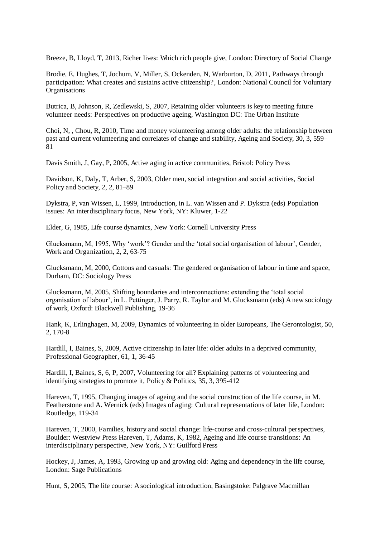Breeze, B, Lloyd, T, 2013, Richer lives: Which rich people give, London: Directory of Social Change

Brodie, E, Hughes, T, Jochum, V, Miller, S, Ockenden, N, Warburton, D, 2011, Pathways through participation: What creates and sustains active citizenship?, London: National Council for Voluntary Organisations

Butrica, B, Johnson, R, Zedlewski, S, 2007, Retaining older volunteers is key to meeting future volunteer needs: Perspectives on productive ageing, Washington DC: The Urban Institute

Choi, N, , Chou, R, 2010, Time and money volunteering among older adults: the relationship between past and current volunteering and correlates of change and stability, Ageing and Society, 30, 3, 559– 81

Davis Smith, J, Gay, P, 2005, Active aging in active communities, Bristol: Policy Press

Davidson, K, Daly, T, Arber, S, 2003, Older men, social integration and social activities, Social Policy and Society, 2, 2, 81–89

Dykstra, P, van Wissen, L, 1999, Introduction, in L. van Wissen and P. Dykstra (eds) Population issues: An interdisciplinary focus, New York, NY: Kluwer, 1-22

Elder, G, 1985, Life course dynamics, New York: Cornell University Press

Glucksmann, M, 1995, Why 'work'? Gender and the 'total social organisation of labour', Gender, Work and Organization, 2, 2, 63-75

Glucksmann, M, 2000, Cottons and casuals: The gendered organisation of labour in time and space, Durham, DC: Sociology Press

Glucksmann, M, 2005, Shifting boundaries and interconnections: extending the 'total social organisation of labour', in L. Pettinger, J. Parry, R. Taylor and M. Glucksmann (eds) A new sociology of work, Oxford: Blackwell Publishing, 19-36

Hank, K, Erlinghagen, M, 2009, Dynamics of volunteering in older Europeans, The Gerontologist, 50, 2, 170-8

Hardill, I, Baines, S, 2009, Active citizenship in later life: older adults in a deprived community, Professional Geographer, 61, 1, 36-45

Hardill, I, Baines, S, 6, P, 2007, Volunteering for all? Explaining patterns of volunteering and identifying strategies to promote it, Policy & Politics, 35, 3, 395-412

Hareven, T, 1995, Changing images of ageing and the social construction of the life course, in M. Featherstone and A. Wernick (eds) Images of aging: Cultural representations of later life, London: Routledge, 119-34

Hareven, T, 2000, Families, history and social change: life-course and cross-cultural perspectives, Boulder: Westview Press Hareven, T, Adams, K, 1982, Ageing and life course transitions: An interdisciplinary perspective, New York, NY: Guilford Press

Hockey, J, James, A, 1993, Growing up and growing old: Aging and dependency in the life course, London: Sage Publications

Hunt, S, 2005, The life course: A sociological introduction, Basingstoke: Palgrave Macmillan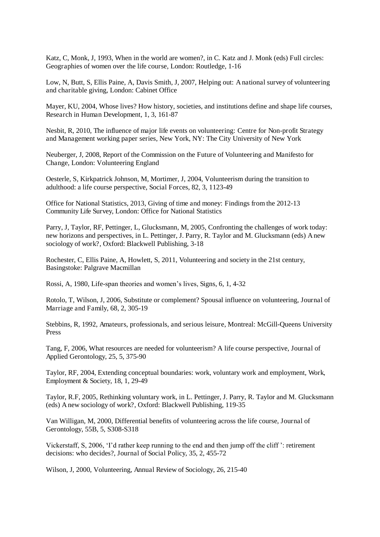Katz, C, Monk, J, 1993, When in the world are women?, in C. Katz and J. Monk (eds) Full circles: Geographies of women over the life course, London: Routledge, 1-16

Low, N, Butt, S, Ellis Paine, A, Davis Smith, J, 2007, Helping out: A national survey of volunteering and charitable giving, London: Cabinet Office

Mayer, KU, 2004, Whose lives? How history, societies, and institutions define and shape life courses, Research in Human Development, 1, 3, 161-87

Nesbit, R, 2010, The influence of major life events on volunteering: Centre for Non-profit Strategy and Management working paper series, New York, NY: The City University of New York

Neuberger, J, 2008, Report of the Commission on the Future of Volunteering and Manifesto for Change, London: Volunteering England

Oesterle, S, Kirkpatrick Johnson, M, Mortimer, J, 2004, Volunteerism during the transition to adulthood: a life course perspective, Social Forces, 82, 3, 1123-49

Office for National Statistics, 2013, Giving of time and money: Findings from the 2012-13 Community Life Survey, London: Office for National Statistics

Parry, J, Taylor, RF, Pettinger, L, Glucksmann, M, 2005, Confronting the challenges of work today: new horizons and perspectives, in L. Pettinger, J. Parry, R. Taylor and M. Glucksmann (eds) A new sociology of work?, Oxford: Blackwell Publishing, 3-18

Rochester, C, Ellis Paine, A, Howlett, S, 2011, Volunteering and society in the 21st century, Basingstoke: Palgrave Macmillan

Rossi, A, 1980, Life-span theories and women's lives, Signs, 6, 1, 4-32

Rotolo, T, Wilson, J, 2006, Substitute or complement? Spousal influence on volunteering, Journal of Marriage and Family, 68, 2, 305-19

Stebbins, R, 1992, Amateurs, professionals, and serious leisure, Montreal: McGill-Queens University Press

Tang, F, 2006, What resources are needed for volunteerism? A life course perspective, Journal of Applied Gerontology, 25, 5, 375-90

Taylor, RF, 2004, Extending conceptual boundaries: work, voluntary work and employment, Work, Employment & Society, 18, 1, 29-49

Taylor, R.F, 2005, Rethinking voluntary work, in L. Pettinger, J. Parry, R. Taylor and M. Glucksmann (eds) A new sociology of work?, Oxford: Blackwell Publishing, 119-35

Van Willigan, M, 2000, Differential benefits of volunteering across the life course, Journal of Gerontology, 55B, 5, S308-S318

Vickerstaff, S, 2006, 'I'd rather keep running to the end and then jump off the cliff ': retirement decisions: who decides?, Journal of Social Policy, 35, 2, 455-72

Wilson, J, 2000, Volunteering, Annual Review of Sociology, 26, 215-40